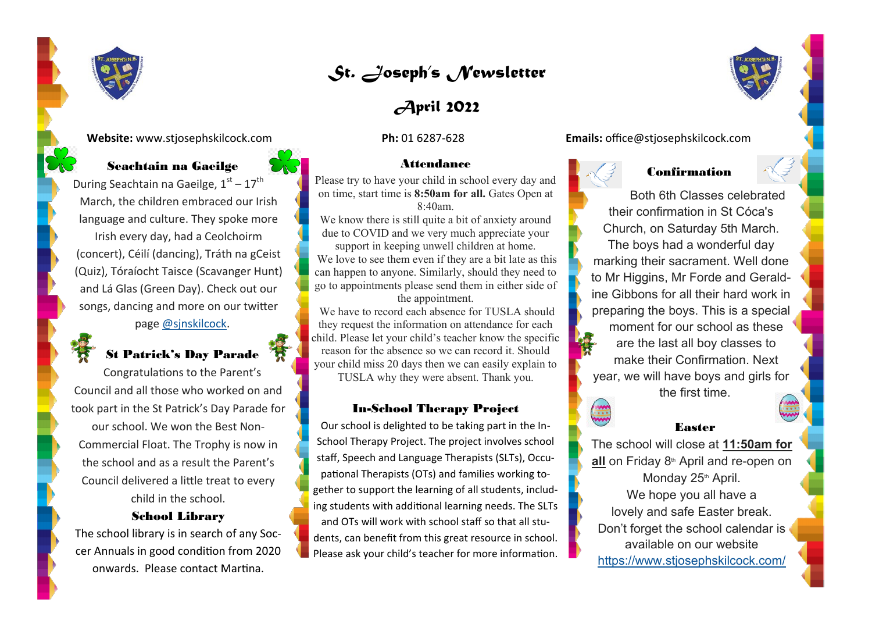

# *St. Joseph's Newsletter*

# *April 2022*

#### **Attendance**

Please try to have your child in school every day and on time, start time is **8:50am for all.** Gates Open at 8:40am.

We know there is still quite a bit of anxiety around due to COVID and we very much appreciate your support in keeping unwell children at home.

We love to see them even if they are a bit late as this can happen to anyone. Similarly, should they need to go to appointments please send them in either side of the appointment.

We have to record each absence for TUSLA should they request the information on attendance for each child. Please let your child's teacher know the specific reason for the absence so we can record it. Should your child miss 20 days then we can easily explain to

TUSLA why they were absent. Thank you.

#### In-School Therapy Project

Our school is delighted to be taking part in the In-School Therapy Project. The project involves school staff, Speech and Language Therapists (SLTs), Occupational Therapists (OTs) and families working together to support the learning of all students, including students with additional learning needs. The SLTs and OTs will work with school staff so that all students, can benefit from this great resource in school. Please ask your child's teacher for more information.



**Website:** www.stjosephskilcock.com **Ph:** 01 6287-628 **Emails:** office@stjosephskilcock.com



### Confirmation

Both 6th Classes celebrated their confirmation in St Cóca's Church, on Saturday 5th March. The boys had a wonderful day marking their sacrament. Well done to Mr Higgins, Mr Forde and Geraldine Gibbons for all their hard work in preparing the boys. This is a special moment for our school as these are the last all boy classes to make their Confirmation. Next year, we will have boys and girls for the first time.



### Easter

The school will close at **11:50am for**  all on Friday 8<sup>th</sup> April and re-open on Monday 25<sup>th</sup> April. We hope you all have a lovely and safe Easter break. Don't forget the school calendar is available on our website <https://www.stjosephskilcock.com/>

# Seachtain na Gaeilge

During Seachtain na Gaeilge,  $1<sup>st</sup> - 17<sup>th</sup>$ March, the children embraced our Irish language and culture. They spoke more Irish every day, had a Ceolchoirm (concert), Céilí (dancing), Tráth na gCeist (Quiz), Tóraíocht Taisce (Scavanger Hunt) and Lá Glas (Green Day). Check out our songs, dancing and more on our twitter page [@sjnskilcock.](https://twitter.com/sjnskilcock?lang=en)

## St Patrick's Day Parade

Congratulations to the Parent's Council and all those who worked on and took part in the St Patrick's Day Parade for our school. We won the Best Non-Commercial Float. The Trophy is now in the school and as a result the Parent's Council delivered a little treat to every child in the school.

#### School Library

The school library is in search of any Soccer Annuals in good condition from 2020 onwards. Please contact Martina.